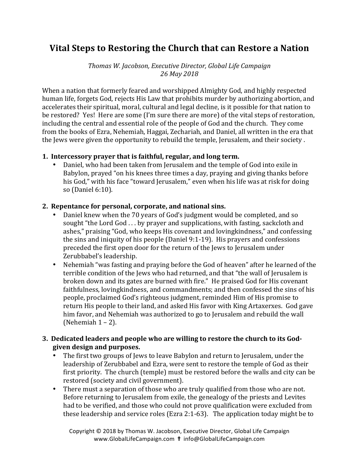# **Vital Steps to Restoring the Church that can Restore a Nation**

*Thomas W. Jacobson, Executive Director, Global Life Campaign 26 May 2018*

When a nation that formerly feared and worshipped Almighty God, and highly respected human life, forgets God, rejects His Law that prohibits murder by authorizing abortion, and accelerates their spiritual, moral, cultural and legal decline, is it possible for that nation to be restored? Yes! Here are some (I'm sure there are more) of the vital steps of restoration, including the central and essential role of the people of God and the church. They come from the books of Ezra, Nehemiah, Haggai, Zechariah, and Daniel, all written in the era that the Jews were given the opportunity to rebuild the temple, Jerusalem, and their society.

#### 1. Intercessory prayer that is faithful, regular, and long term.

• Daniel, who had been taken from Jerusalem and the temple of God into exile in Babylon, prayed "on his knees three times a day, praying and giving thanks before his God," with his face "toward Jerusalem," even when his life was at risk for doing so (Daniel 6:10).

#### 2. Repentance for personal, corporate, and national sins.

- Daniel knew when the 70 years of God's judgment would be completed, and so sought "the Lord God  $\dots$  by prayer and supplications, with fasting, sackcloth and ashes," praising "God, who keeps His covenant and lovingkindness," and confessing the sins and iniquity of his people (Daniel  $9:1-19$ ). His prayers and confessions preceded the first open door for the return of the Jews to Jerusalem under Zerubbabel's leadership.
- Nehemiah "was fasting and praying before the God of heaven" after he learned of the terrible condition of the Jews who had returned, and that "the wall of Jerusalem is broken down and its gates are burned with fire." He praised God for His covenant faithfulness, lovingkindness, and commandments; and then confessed the sins of his people, proclaimed God's righteous judgment, reminded Him of His promise to return His people to their land, and asked His favor with King Artaxerxes. God gave him favor, and Nehemiah was authorized to go to Jerusalem and rebuild the wall (Nehemiah  $1 - 2$ ).

#### **3.** Dedicated leaders and people who are willing to restore the church to its Godgiven design and purposes.

- The first two groups of Jews to leave Babylon and return to Jerusalem, under the leadership of Zerubbabel and Ezra, were sent to restore the temple of God as their first priority. The church (temple) must be restored before the walls and city can be restored (society and civil government).
- There must a separation of those who are truly qualified from those who are not. Before returning to Jerusalem from exile, the genealogy of the priests and Levites had to be verified, and those who could not prove qualification were excluded from these leadership and service roles (Ezra 2:1-63). The application today might be to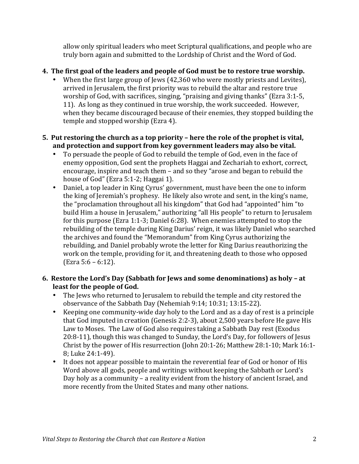allow only spiritual leaders who meet Scriptural qualifications, and people who are truly born again and submitted to the Lordship of Christ and the Word of God.

## **4.** The first goal of the leaders and people of God must be to restore true worship.

When the first large group of Jews  $(42,360 \text{ who were mostly priests and Levites})$ , arrived in Jerusalem, the first priority was to rebuild the altar and restore true worship of God, with sacrifices, singing, "praising and giving thanks" (Ezra 3:1-5, 11). As long as they continued in true worship, the work succeeded. However, when they became discouraged because of their enemies, they stopped building the temple and stopped worship (Ezra 4).

### **5.** Put restoring the church as a top priority – here the role of the prophet is vital, and protection and support from key government leaders may also be vital.

- To persuade the people of God to rebuild the temple of God, even in the face of enemy opposition, God sent the prophets Haggai and Zechariah to exhort, correct, encourage, inspire and teach them - and so they "arose and began to rebuild the house of  $God''$  (Ezra  $5:1-2$ ; Haggai 1).
- Daniel, a top leader in King Cyrus' government, must have been the one to inform the king of Jeremiah's prophesy. He likely also wrote and sent, in the king's name, the "proclamation throughout all his kingdom" that God had "appointed" him "to build Him a house in Jerusalem," authorizing "all His people" to return to Jerusalem for this purpose (Ezra 1:1-3; Daniel 6:28). When enemies attempted to stop the rebuilding of the temple during King Darius' reign, it was likely Daniel who searched the archives and found the "Memorandum" from King Cyrus authorizing the rebuilding, and Daniel probably wrote the letter for King Darius reauthorizing the work on the temple, providing for it, and threatening death to those who opposed (Ezra 5:6 – 6:12).

### **6.** Restore the Lord's Day (Sabbath for Jews and some denominations) as holy – at least for the people of God.

- The Jews who returned to Jerusalem to rebuild the temple and city restored the observance of the Sabbath Day (Nehemiah 9:14; 10:31; 13:15-22).
- Keeping one community-wide day holy to the Lord and as a day of rest is a principle that God imputed in creation (Genesis 2:2-3), about  $2,500$  years before He gave His Law to Moses. The Law of God also requires taking a Sabbath Day rest (Exodus 20:8-11), though this was changed to Sunday, the Lord's Day, for followers of Jesus Christ by the power of His resurrection (John 20:1-26; Matthew 28:1-10; Mark  $16:1$ -8; Luke 24:1-49).
- It does not appear possible to maintain the reverential fear of God or honor of His Word above all gods, people and writings without keeping the Sabbath or Lord's Day holy as a community – a reality evident from the history of ancient Israel, and more recently from the United States and many other nations.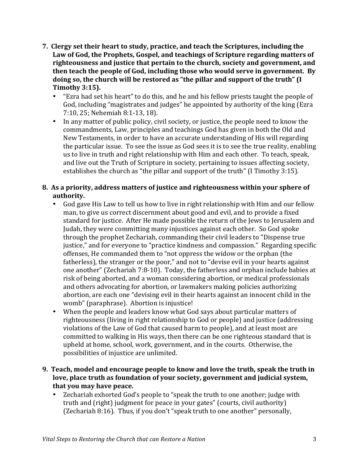- **7.** Clergy set their heart to study, practice, and teach the Scriptures, including the Law of God, the Prophets, Gospel, and teachings of Scripture regarding matters of righteousness and justice that pertain to the church, society and government, and then teach the people of God, including those who would serve in government. By doing so, the church will be restored as "the pillar and support of the truth" (I **Timothy 3:15).** 
	- "Ezra had set his heart" to do this, and he and his fellow priests taught the people of God, including "magistrates and judges" he appointed by authority of the king (Ezra 7:10, 25; Nehemiah 8:1-13, 18).
	- In any matter of public policy, civil society, or justice, the people need to know the commandments, Law, principles and teachings God has given in both the Old and New Testaments, in order to have an accurate understanding of His will regarding the particular issue. To see the issue as God sees it is to see the true reality, enabling us to live in truth and right relationship with Him and each other. To teach, speak, and live out the Truth of Scripture in society, pertaining to issues affecting society, establishes the church as "the pillar and support of the truth" (I Timothy 3:15).

## **8.** As a priority, address matters of justice and righteousness within your sphere of authority.

- God gave His Law to tell us how to live in right relationship with Him and our fellow man, to give us correct discernment about good and evil, and to provide a fixed standard for justice. After He made possible the return of the Jews to Jerusalem and Judah, they were committing many injustices against each other. So God spoke through the prophet Zechariah, commanding their civil leaders to "Dispense true justice," and for everyone to "practice kindness and compassion." Regarding specific offenses, He commanded them to "not oppress the widow or the orphan (the fatherless), the stranger or the poor," and not to "devise evil in your hearts against one another" (Zechariah  $7:8-10$ ). Today, the fatherless and orphan include babies at risk of being aborted, and a woman considering abortion, or medical professionals and others advocating for abortion, or lawmakers making policies authorizing abortion, are each one "devising evil in their hearts against an innocent child in the womb" (paraphrase). Abortion is injustice!
- When the people and leaders know what God says about particular matters of righteousness (living in right relationship to God or people) and justice (addressing violations of the Law of God that caused harm to people), and at least most are committed to walking in His ways, then there can be one righteous standard that is upheld at home, school, work, government, and in the courts. Otherwise, the possibilities of injustice are unlimited.

### **9.** Teach, model and encourage people to know and love the truth, speak the truth in love, place truth as foundation of your society, government and judicial system, **that you may have peace.**

Zechariah exhorted God's people to "speak the truth to one another; judge with truth and (right) judgment for peace in your gates" (courts, civil authority) (Zechariah 8:16). Thus, if you don't "speak truth to one another" personally,